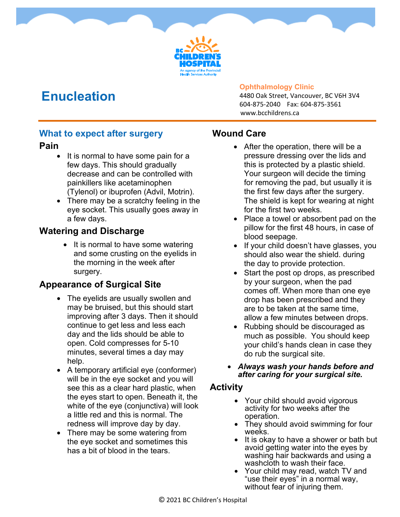## **Enucleation**

#### **Ophthalmology Clinic**

4480 Oak Street, Vancouver, BC V6H 3V4 604-875-2040 Fax: 604-875-3561 www.bcchildrens.ca

### **What to expect after surgery**

### **Pain**

- It is normal to have some pain for a few days. This should gradually decrease and can be controlled with painkillers like acetaminophen (Tylenol) or ibuprofen (Advil, Motrin).
- There may be a scratchy feeling in the eye socket. This usually goes away in a few days.

### **Watering and Discharge**

• It is normal to have some watering and some crusting on the eyelids in the morning in the week after surgery.

### **Appearance of Surgical Site**

- The eyelids are usually swollen and may be bruised, but this should start improving after 3 days. Then it should continue to get less and less each day and the lids should be able to open. Cold compresses for 5-10 minutes, several times a day may help.
- A temporary artificial eye (conformer) will be in the eye socket and you will see this as a clear hard plastic, when the eyes start to open. Beneath it, the white of the eye (conjunctiva) will look a little red and this is normal. The redness will improve day by day.
- There may be some watering from the eye socket and sometimes this has a bit of blood in the tears.

### **Wound Care**

- After the operation, there will be a pressure dressing over the lids and this is protected by a plastic shield. Your surgeon will decide the timing for removing the pad, but usually it is the first few days after the surgery. The shield is kept for wearing at night for the first two weeks.
- Place a towel or absorbent pad on the pillow for the first 48 hours, in case of blood seepage.
- If your child doesn't have glasses, you should also wear the shield. during the day to provide protection.
- Start the post op drops, as prescribed by your surgeon, when the pad comes off. When more than one eye drop has been prescribed and they are to be taken at the same time, allow a few minutes between drops.
- Rubbing should be discouraged as much as possible. You should keep your child's hands clean in case they do rub the surgical site.
- *Always wash your hands before and after caring for your surgical site.*

### **Activity**

- Your child should avoid vigorous activity for two weeks after the operation.
- They should avoid swimming for four weeks.
- It is okay to have a shower or bath but avoid getting water into the eyes by washing hair backwards and using a washcloth to wash their face.
- Your child may read, watch TV and "use their eyes" in a normal way, without fear of injuring them.